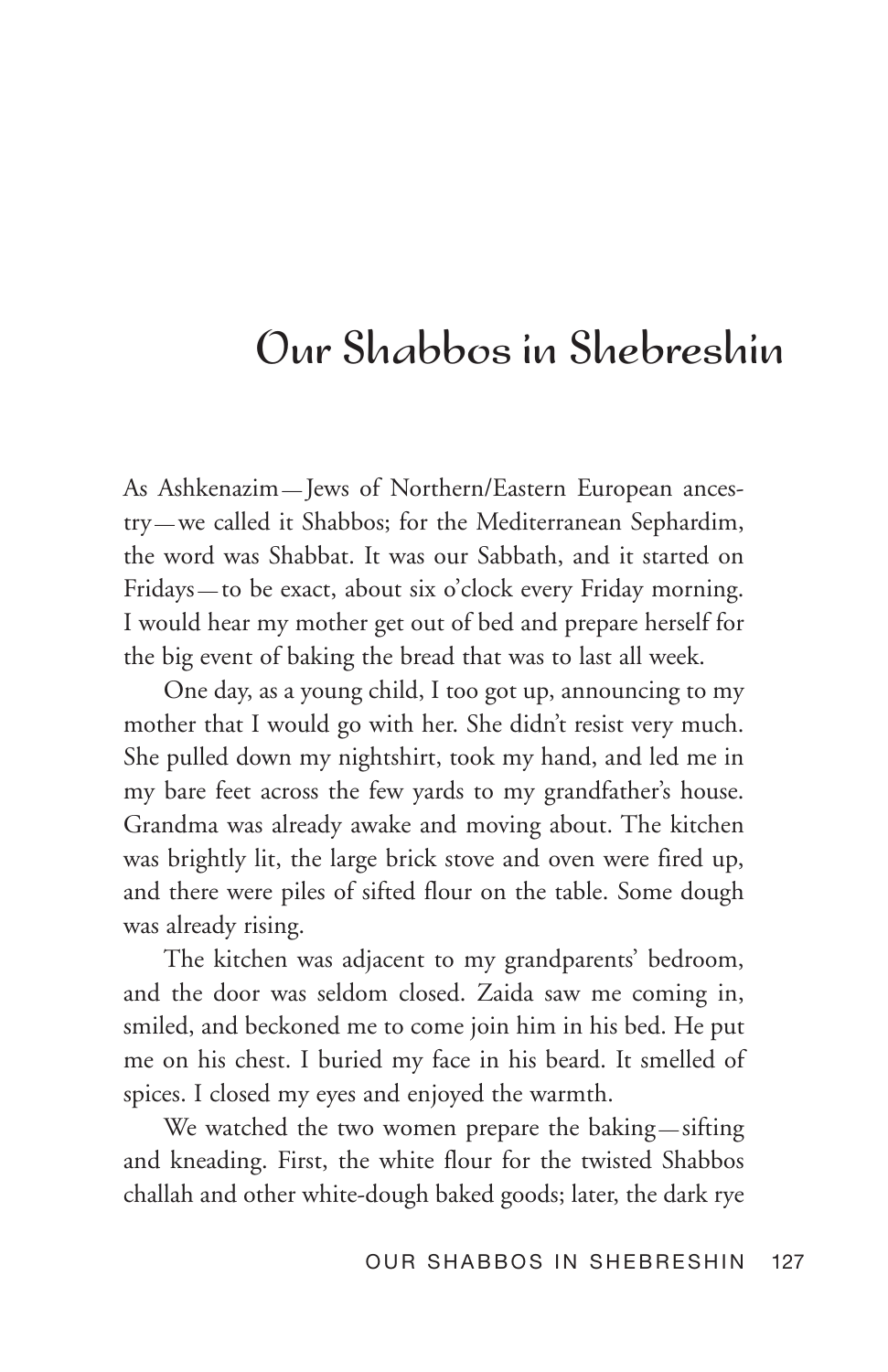## Our Shabbos in Shebreshin

As Ashkenazim — Jews of Northern/Eastern European ancestry — we called it Shabbos; for the Mediterranean Sephardim, the word was Shabbat. It was our Sabbath, and it started on Fridays — to be exact, about six o'clock every Friday morning. I would hear my mother get out of bed and prepare herself for the big event of baking the bread that was to last all week.

One day, as a young child, I too got up, announcing to my mother that I would go with her. She didn't resist very much. She pulled down my nightshirt, took my hand, and led me in my bare feet across the few yards to my grandfather's house. Grandma was already awake and moving about. The kitchen was brightly lit, the large brick stove and oven were fired up, and there were piles of sifted flour on the table. Some dough was already rising.

The kitchen was adjacent to my grandparents' bedroom, and the door was seldom closed. Zaida saw me coming in, smiled, and beckoned me to come join him in his bed. He put me on his chest. I buried my face in his beard. It smelled of spices. I closed my eyes and enjoyed the warmth.

We watched the two women prepare the baking—sifting and kneading. First, the white flour for the twisted Shabbos challah and other white-dough baked goods; later, the dark rye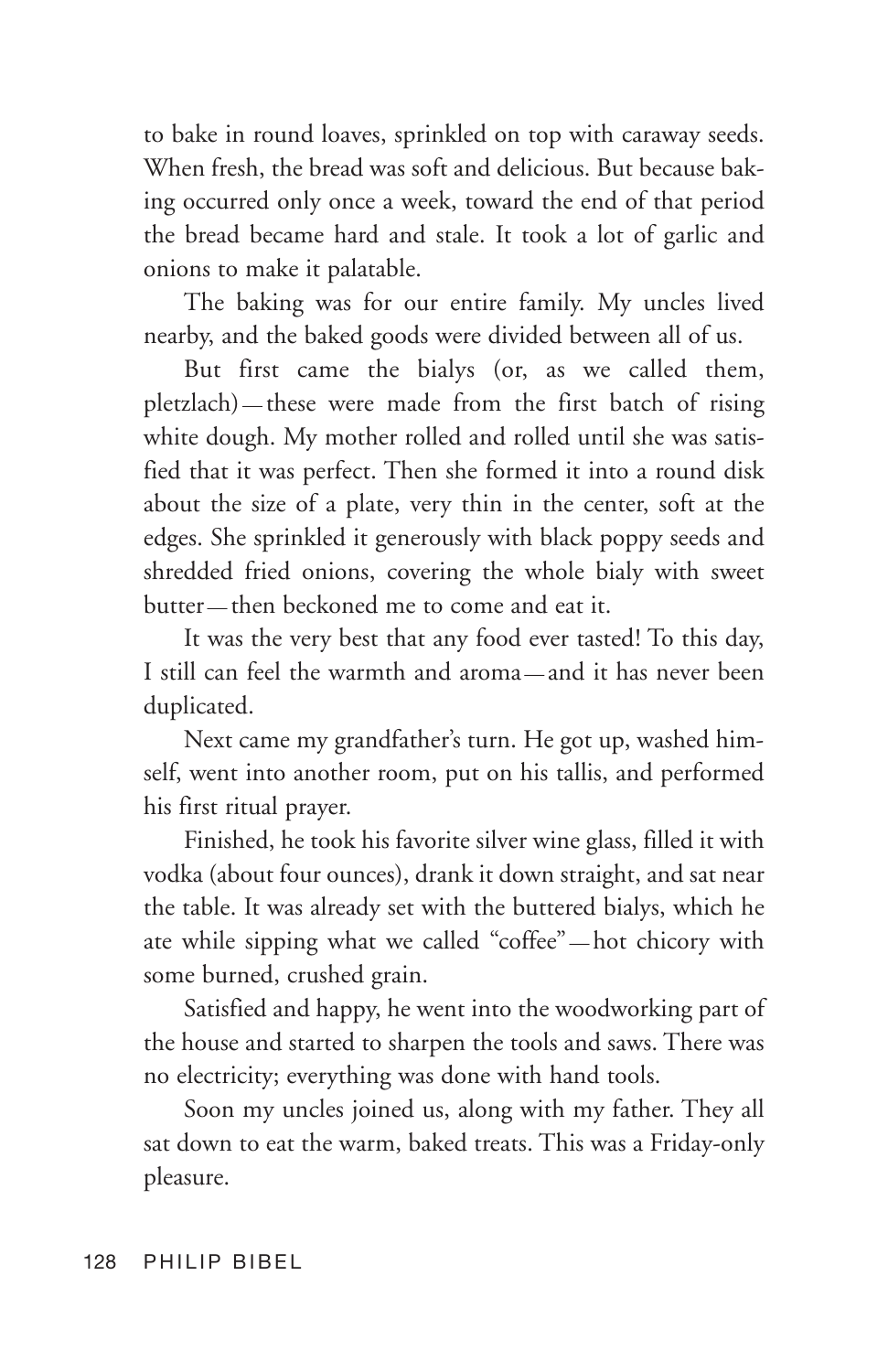to bake in round loaves, sprinkled on top with caraway seeds. When fresh, the bread was soft and delicious. But because baking occurred only once a week, toward the end of that period the bread became hard and stale. It took a lot of garlic and onions to make it palatable.

The baking was for our entire family. My uncles lived nearby, and the baked goods were divided between all of us.

But first came the bialys (or, as we called them, pletzlach) — these were made from the first batch of rising white dough. My mother rolled and rolled until she was satisfied that it was perfect. Then she formed it into a round disk about the size of a plate, very thin in the center, soft at the edges. She sprinkled it generously with black poppy seeds and shredded fried onions, covering the whole bialy with sweet butter — then beckoned me to come and eat it.

It was the very best that any food ever tasted! To this day, I still can feel the warmth and aroma — and it has never been duplicated.

Next came my grandfather's turn. He got up, washed himself, went into another room, put on his tallis, and performed his first ritual prayer.

Finished, he took his favorite silver wine glass, filled it with vodka (about four ounces), drank it down straight, and sat near the table. It was already set with the buttered bialys, which he ate while sipping what we called "coffee" — hot chicory with some burned, crushed grain.

Satisfied and happy, he went into the woodworking part of the house and started to sharpen the tools and saws. There was no electricity; everything was done with hand tools.

Soon my uncles joined us, along with my father. They all sat down to eat the warm, baked treats. This was a Friday-only pleasure.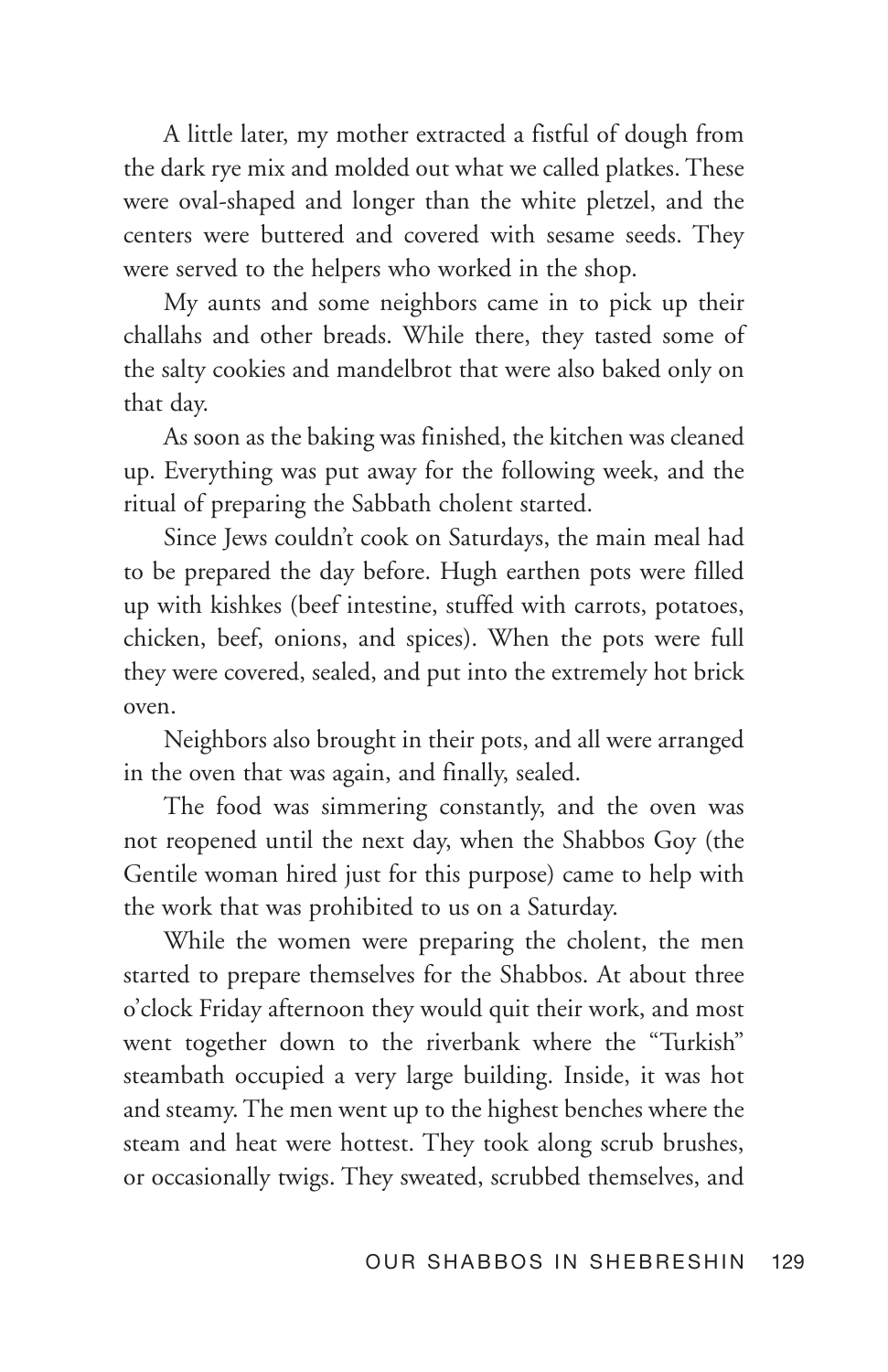A little later, my mother extracted a fistful of dough from the dark rye mix and molded out what we called platkes. These were oval-shaped and longer than the white pletzel, and the centers were buttered and covered with sesame seeds. They were served to the helpers who worked in the shop.

My aunts and some neighbors came in to pick up their challahs and other breads. While there, they tasted some of the salty cookies and mandelbrot that were also baked only on that day.

As soon as the baking was finished, the kitchen was cleaned up. Everything was put away for the following week, and the ritual of preparing the Sabbath cholent started.

Since Jews couldn't cook on Saturdays, the main meal had to be prepared the day before. Hugh earthen pots were filled up with kishkes (beef intestine, stuffed with carrots, potatoes, chicken, beef, onions, and spices). When the pots were full they were covered, sealed, and put into the extremely hot brick oven.

Neighbors also brought in their pots, and all were arranged in the oven that was again, and finally, sealed.

The food was simmering constantly, and the oven was not reopened until the next day, when the Shabbos Goy (the Gentile woman hired just for this purpose) came to help with the work that was prohibited to us on a Saturday.

While the women were preparing the cholent, the men started to prepare themselves for the Shabbos. At about three o'clock Friday afternoon they would quit their work, and most went together down to the riverbank where the "Turkish" steambath occupied a very large building. Inside, it was hot and steamy. The men went up to the highest benches where the steam and heat were hottest. They took along scrub brushes, or occasionally twigs. They sweated, scrubbed themselves, and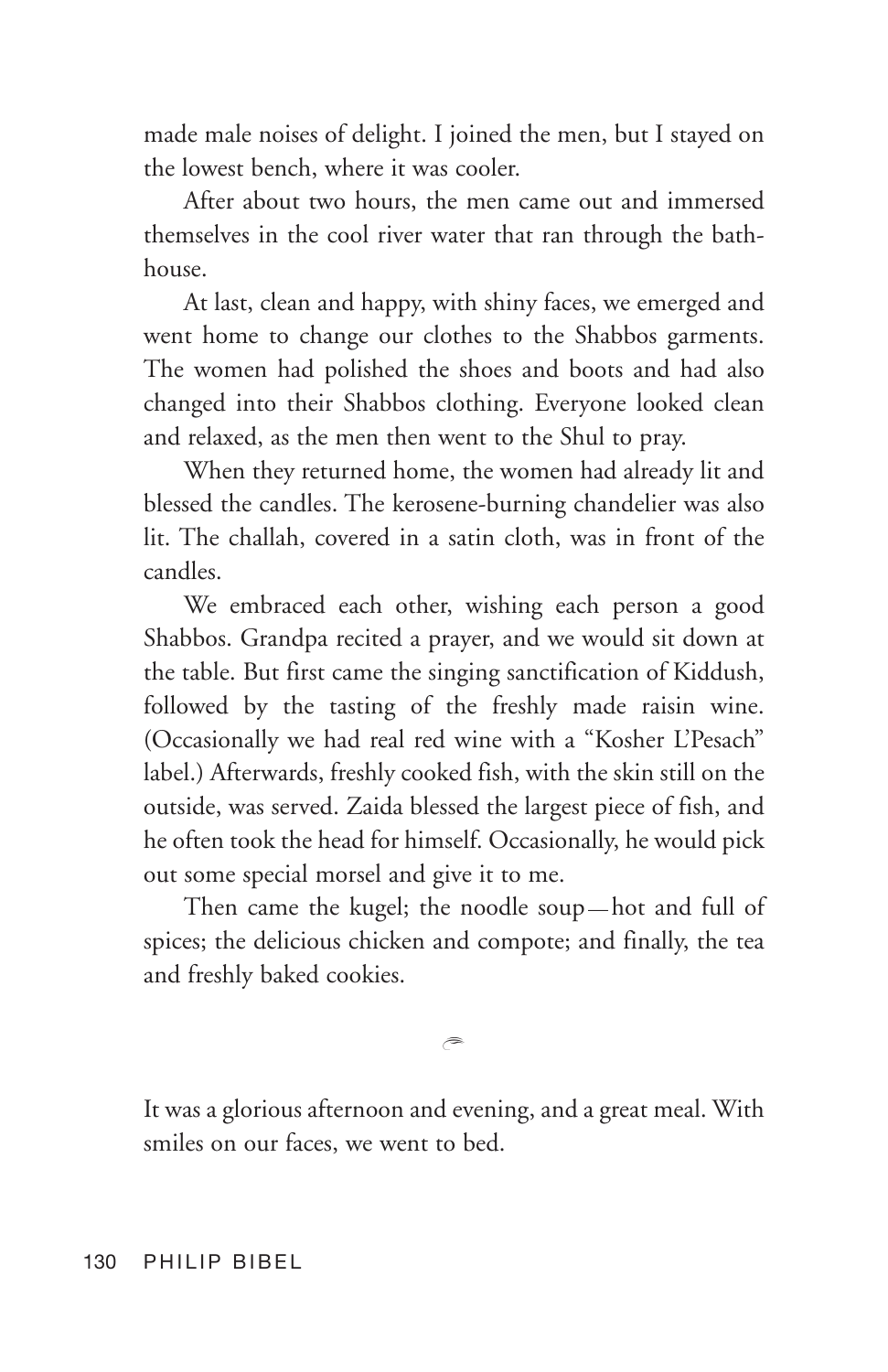made male noises of delight. I joined the men, but I stayed on the lowest bench, where it was cooler.

After about two hours, the men came out and immersed themselves in the cool river water that ran through the bathhouse.

At last, clean and happy, with shiny faces, we emerged and went home to change our clothes to the Shabbos garments. The women had polished the shoes and boots and had also changed into their Shabbos clothing. Everyone looked clean and relaxed, as the men then went to the Shul to pray.

When they returned home, the women had already lit and blessed the candles. The kerosene-burning chandelier was also lit. The challah, covered in a satin cloth, was in front of the candles.

We embraced each other, wishing each person a good Shabbos. Grandpa recited a prayer, and we would sit down at the table. But first came the singing sanctification of Kiddush, followed by the tasting of the freshly made raisin wine. (Occasionally we had real red wine with a "Kosher L'Pesach" label.) Afterwards, freshly cooked fish, with the skin still on the outside, was served. Zaida blessed the largest piece of fish, and he often took the head for himself. Occasionally, he would pick out some special morsel and give it to me.

Then came the kugel; the noodle soup — hot and full of spices; the delicious chicken and compote; and finally, the tea and freshly baked cookies.

 $\widehat{\phantom{a}}$ 

It was a glorious afternoon and evening, and a great meal. With smiles on our faces, we went to bed.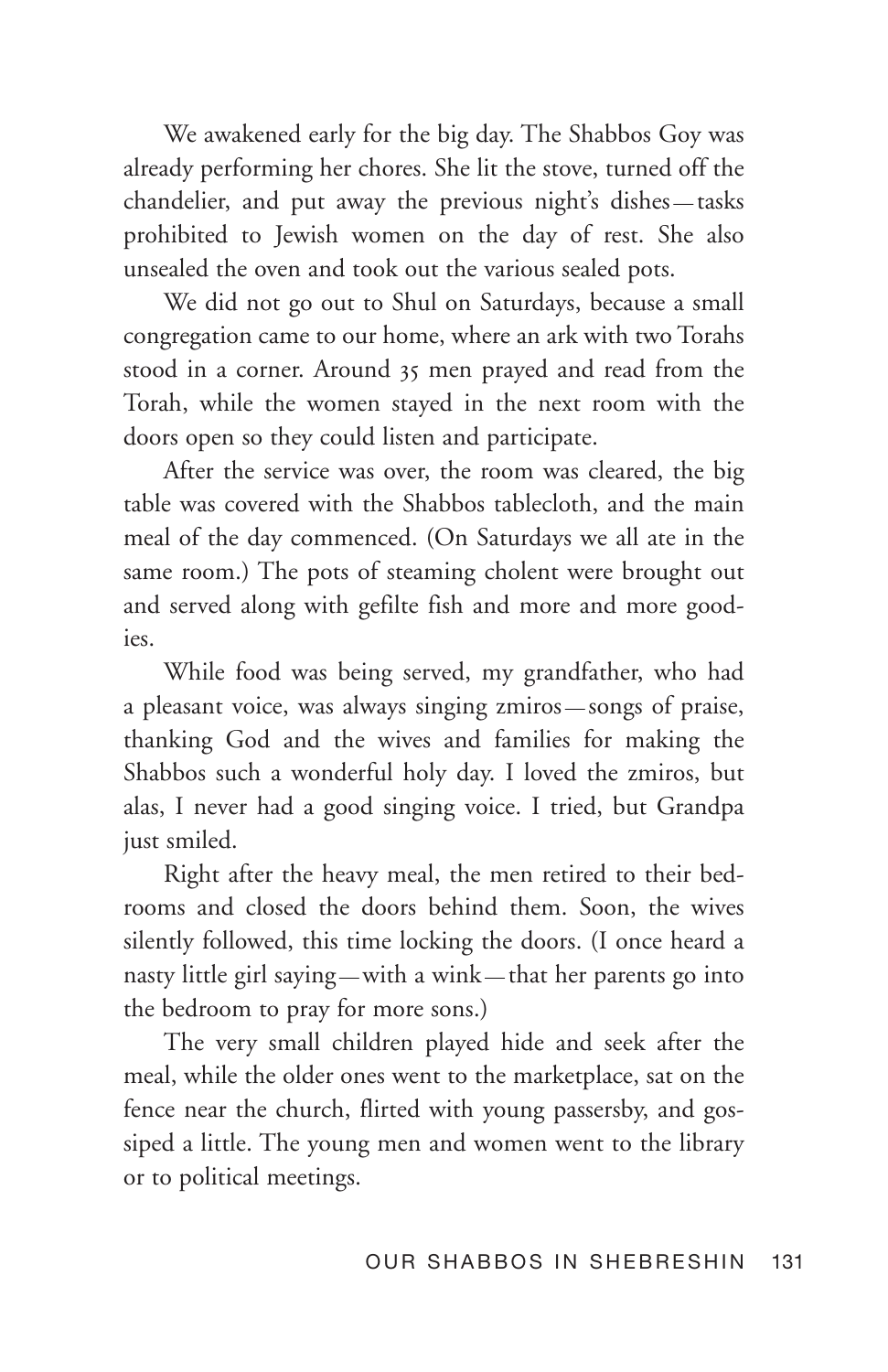We awakened early for the big day. The Shabbos Goy was already performing her chores. She lit the stove, turned off the chandelier, and put away the previous night's dishes — tasks prohibited to Jewish women on the day of rest. She also unsealed the oven and took out the various sealed pots.

We did not go out to Shul on Saturdays, because a small congregation came to our home, where an ark with two Torahs stood in a corner. Around 35 men prayed and read from the Torah, while the women stayed in the next room with the doors open so they could listen and participate.

After the service was over, the room was cleared, the big table was covered with the Shabbos tablecloth, and the main meal of the day commenced. (On Saturdays we all ate in the same room.) The pots of steaming cholent were brought out and served along with gefilte fish and more and more goodies.

While food was being served, my grandfather, who had a pleasant voice, was always singing zmiros — songs of praise, thanking God and the wives and families for making the Shabbos such a wonderful holy day. I loved the zmiros, but alas, I never had a good singing voice. I tried, but Grandpa just smiled.

Right after the heavy meal, the men retired to their bedrooms and closed the doors behind them. Soon, the wives silently followed, this time locking the doors. (I once heard a nasty little girl saying — with a wink — that her parents go into the bedroom to pray for more sons.)

The very small children played hide and seek after the meal, while the older ones went to the marketplace, sat on the fence near the church, flirted with young passersby, and gossiped a little. The young men and women went to the library or to political meetings.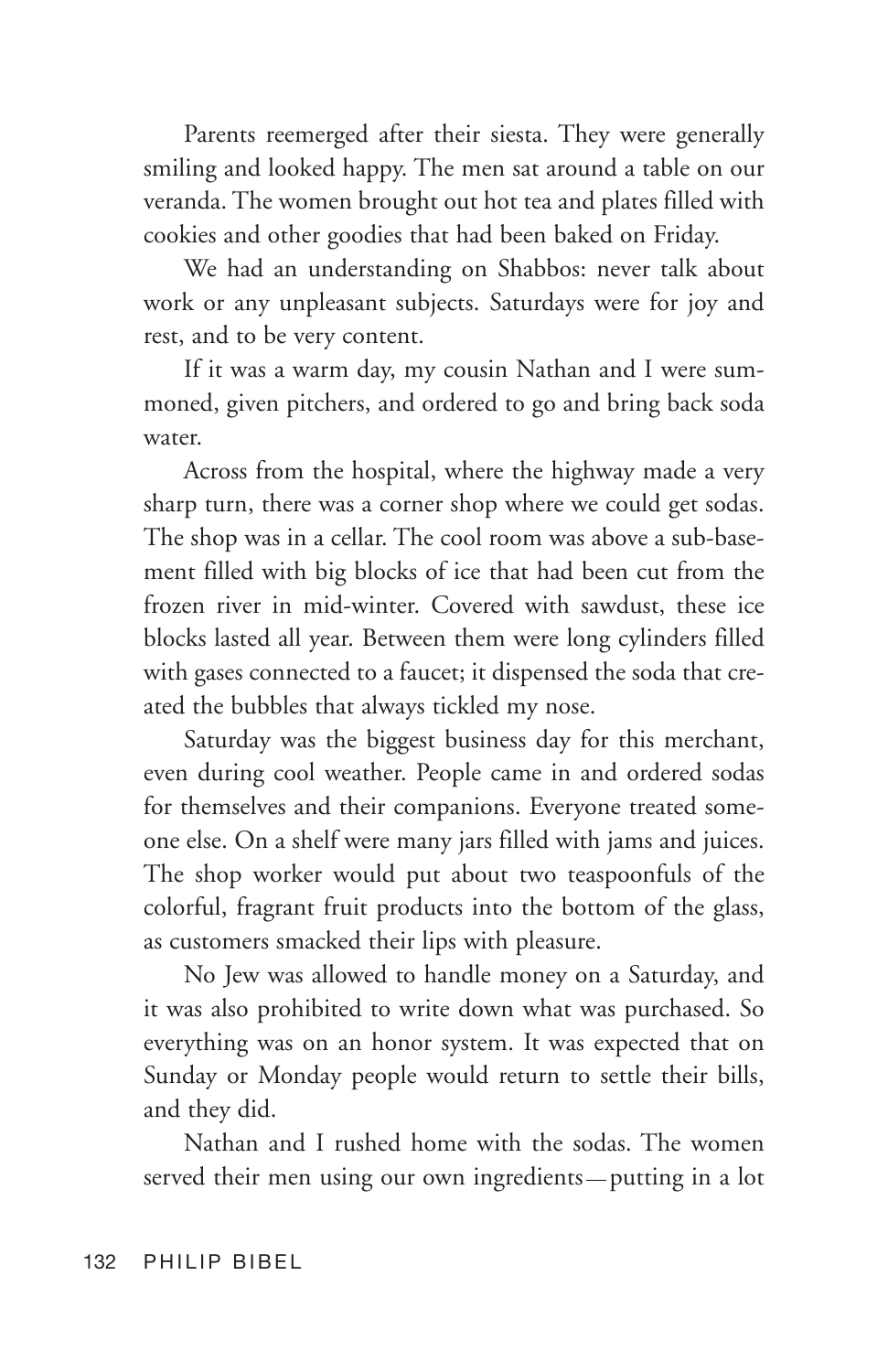Parents reemerged after their siesta. They were generally smiling and looked happy. The men sat around a table on our veranda. The women brought out hot tea and plates filled with cookies and other goodies that had been baked on Friday.

We had an understanding on Shabbos: never talk about work or any unpleasant subjects. Saturdays were for joy and rest, and to be very content.

If it was a warm day, my cousin Nathan and I were summoned, given pitchers, and ordered to go and bring back soda water.

Across from the hospital, where the highway made a very sharp turn, there was a corner shop where we could get sodas. The shop was in a cellar. The cool room was above a sub-basement filled with big blocks of ice that had been cut from the frozen river in mid-winter. Covered with sawdust, these ice blocks lasted all year. Between them were long cylinders filled with gases connected to a faucet; it dispensed the soda that created the bubbles that always tickled my nose.

Saturday was the biggest business day for this merchant, even during cool weather. People came in and ordered sodas for themselves and their companions. Everyone treated someone else. On a shelf were many jars filled with jams and juices. The shop worker would put about two teaspoonfuls of the colorful, fragrant fruit products into the bottom of the glass, as customers smacked their lips with pleasure.

No Jew was allowed to handle money on a Saturday, and it was also prohibited to write down what was purchased. So everything was on an honor system. It was expected that on Sunday or Monday people would return to settle their bills, and they did.

Nathan and I rushed home with the sodas. The women served their men using our own ingredients — putting in a lot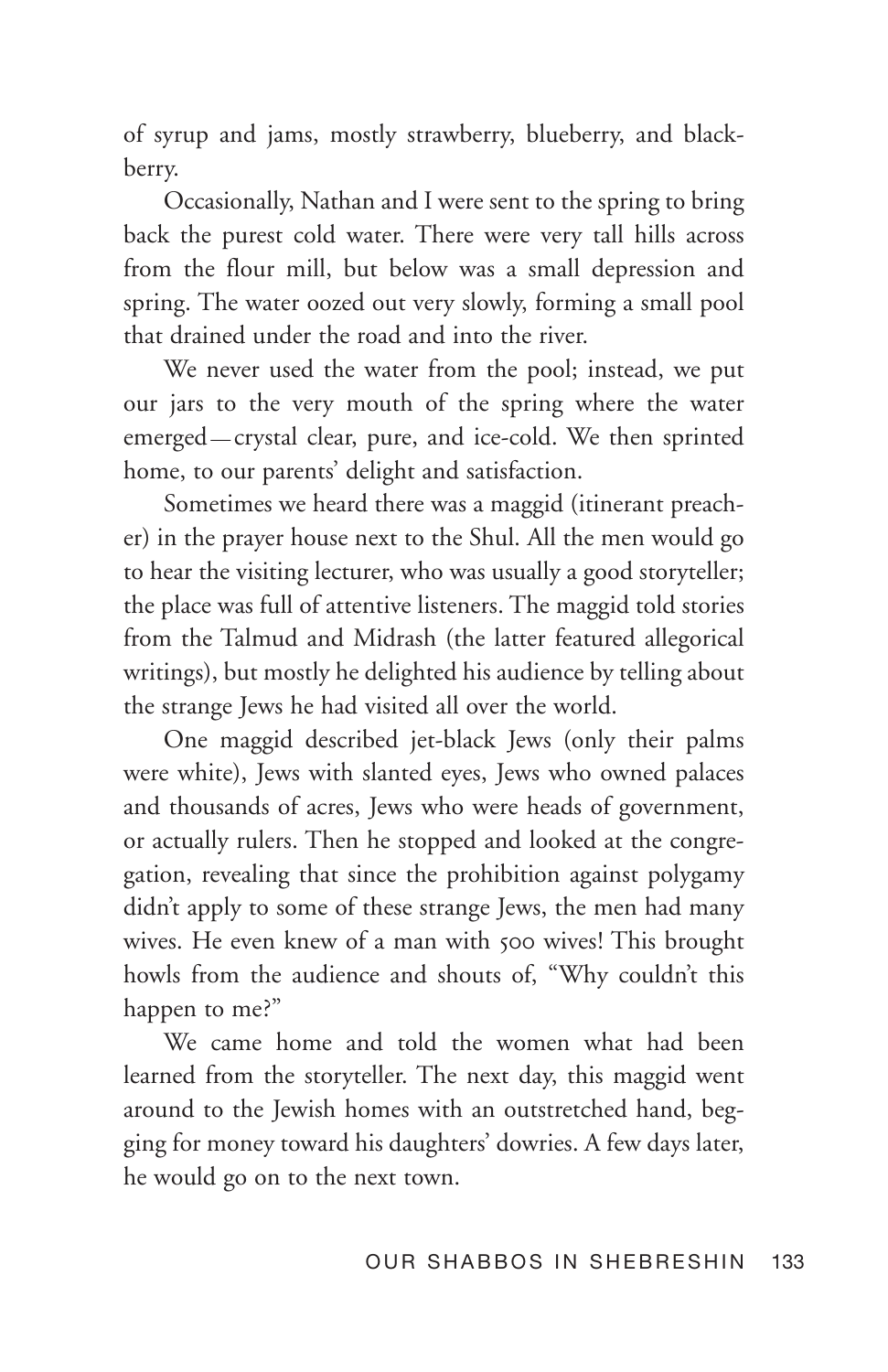of syrup and jams, mostly strawberry, blueberry, and blackberry.

Occasionally, Nathan and I were sent to the spring to bring back the purest cold water. There were very tall hills across from the flour mill, but below was a small depression and spring. The water oozed out very slowly, forming a small pool that drained under the road and into the river.

We never used the water from the pool; instead, we put our jars to the very mouth of the spring where the water emerged — crystal clear, pure, and ice-cold. We then sprinted home, to our parents' delight and satisfaction.

Sometimes we heard there was a maggid (itinerant preacher) in the prayer house next to the Shul. All the men would go to hear the visiting lecturer, who was usually a good storyteller; the place was full of attentive listeners. The maggid told stories from the Talmud and Midrash (the latter featured allegorical writings), but mostly he delighted his audience by telling about the strange Jews he had visited all over the world.

One maggid described jet-black Jews (only their palms were white), Jews with slanted eyes, Jews who owned palaces and thousands of acres, Jews who were heads of government, or actually rulers. Then he stopped and looked at the congregation, revealing that since the prohibition against polygamy didn't apply to some of these strange Jews, the men had many wives. He even knew of a man with 500 wives! This brought howls from the audience and shouts of, "Why couldn't this happen to me?"

We came home and told the women what had been learned from the storyteller. The next day, this maggid went around to the Jewish homes with an outstretched hand, begging for money toward his daughters' dowries. A few days later, he would go on to the next town.